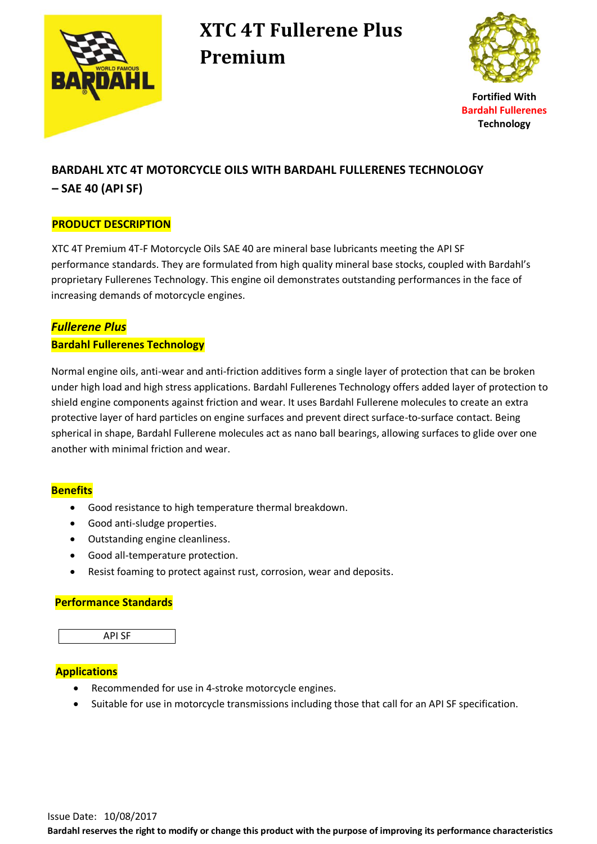

## **XTC 4T Fullerene Plus Premium**



**Fortified With Bardahl Fullerenes Technology**

### **BARDAHL XTC 4T MOTORCYCLE OILS WITH BARDAHL FULLERENES TECHNOLOGY – SAE 40 (API SF)**

#### **PRODUCT DESCRIPTION**

XTC 4T Premium 4T-F Motorcycle Oils SAE 40 are mineral base lubricants meeting the API SF performance standards. They are formulated from high quality mineral base stocks, coupled with Bardahl's proprietary Fullerenes Technology. This engine oil demonstrates outstanding performances in the face of increasing demands of motorcycle engines.

#### *Fullerene Plus*

#### **Bardahl Fullerenes Technology**

 Normal engine oils, anti-wear and anti-friction additives form a single layer of protection that can be broken under high load and high stress applications. Bardahl Fullerenes Technology offers added layer of protection to shield engine components against friction and wear. It uses Bardahl Fullerene molecules to create an extra protective layer of hard particles on engine surfaces and prevent direct surface-to-surface contact. Being spherical in shape, Bardahl Fullerene molecules act as nano ball bearings, allowing surfaces to glide over one another with minimal friction and wear.

#### **Benefits**

- Good resistance to high temperature thermal breakdown.
- Good anti-sludge properties.
- Outstanding engine cleanliness.
- Good all-temperature protection.
- Resist foaming to protect against rust, corrosion, wear and deposits.

#### **Performance Standards**



#### **Applications**

- Recommended for use in 4-stroke motorcycle engines.
- Suitable for use in motorcycle transmissions including those that call for an API SF specification.

**Bardahl reserves the right to modify or change this product with the purpose of improving its performance characteristics**